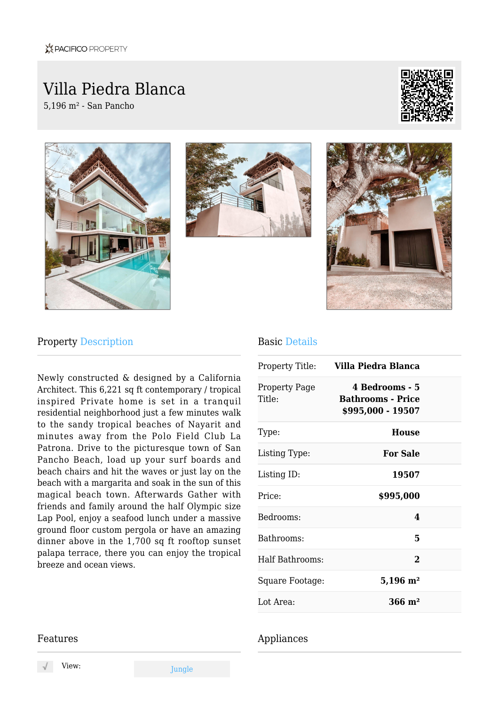# Villa Piedra Blanca

5,196 m² - San Pancho









### Property Description

Newly constructed & designed by a California Architect. This 6,221 sq ft contemporary / tropical inspired Private home is set in a tranquil residential neighborhood just a few minutes walk to the sandy tropical beaches of Nayarit and minutes away from the Polo Field Club La Patrona. Drive to the picturesque town of San Pancho Beach, load up your surf boards and beach chairs and hit the waves or just lay on the beach with a margarita and soak in the sun of this magical beach town. Afterwards Gather with friends and family around the half Olympic size Lap Pool, enjoy a seafood lunch under a massive ground floor custom pergola or have an amazing dinner above in the 1,700 sq ft rooftop sunset palapa terrace, there you can enjoy the tropical breeze and ocean views.

#### Basic Details

| Villa Piedra Blanca<br>Property Title:                          |  |
|-----------------------------------------------------------------|--|
| 4 Bedrooms - 5<br><b>Bathrooms - Price</b><br>\$995,000 - 19507 |  |
| <b>House</b>                                                    |  |
| <b>For Sale</b>                                                 |  |
| 19507                                                           |  |
| \$995,000                                                       |  |
| 4                                                               |  |
| 5                                                               |  |
| $\mathbf{2}$                                                    |  |
| $5,196 \; \mathrm{m}^2$                                         |  |
| $366 \text{ m}^2$                                               |  |
|                                                                 |  |

#### Appliances

#### Features